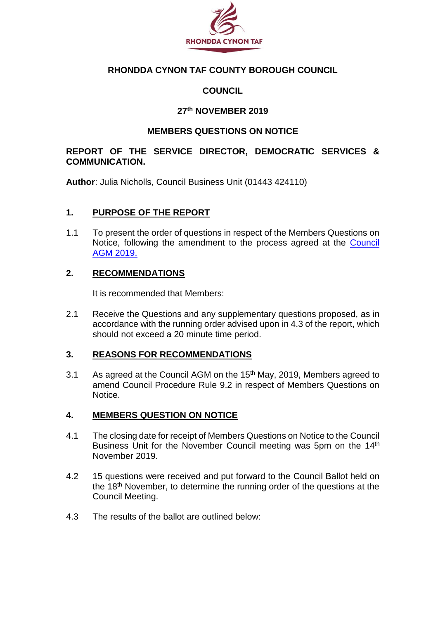

# **RHONDDA CYNON TAF COUNTY BOROUGH COUNCIL**

# **COUNCIL**

### **27th NOVEMBER 2019**

### **MEMBERS QUESTIONS ON NOTICE**

### **REPORT OF THE SERVICE DIRECTOR, DEMOCRATIC SERVICES & COMMUNICATION.**

**Author**: Julia Nicholls, Council Business Unit (01443 424110)

### **1. PURPOSE OF THE REPORT**

1.1 To present the order of questions in respect of the Members Questions on Notice, following the amendment to the process agreed at the [Council](https://www.rctcbc.gov.uk/EN/Council/CouncillorsCommitteesandMeetings/Meetings/Council/2019/05/15/Reports/Item7TheCouncilsConstitutionProposedAmendmentsAndAncillaryMatters.pdf)  [AGM 2019.](https://www.rctcbc.gov.uk/EN/Council/CouncillorsCommitteesandMeetings/Meetings/Council/2019/05/15/Reports/Item7TheCouncilsConstitutionProposedAmendmentsAndAncillaryMatters.pdf)

### **2. RECOMMENDATIONS**

It is recommended that Members:

2.1 Receive the Questions and any supplementary questions proposed, as in accordance with the running order advised upon in 4.3 of the report, which should not exceed a 20 minute time period.

# **3. REASONS FOR RECOMMENDATIONS**

3.1 As agreed at the Council AGM on the 15<sup>th</sup> May, 2019, Members agreed to amend Council Procedure Rule 9.2 in respect of Members Questions on Notice.

#### **4. MEMBERS QUESTION ON NOTICE**

- 4.1 The closing date for receipt of Members Questions on Notice to the Council Business Unit for the November Council meeting was 5pm on the 14<sup>th</sup> November 2019.
- 4.2 15 questions were received and put forward to the Council Ballot held on the 18<sup>th</sup> November, to determine the running order of the questions at the Council Meeting.
- 4.3 The results of the ballot are outlined below: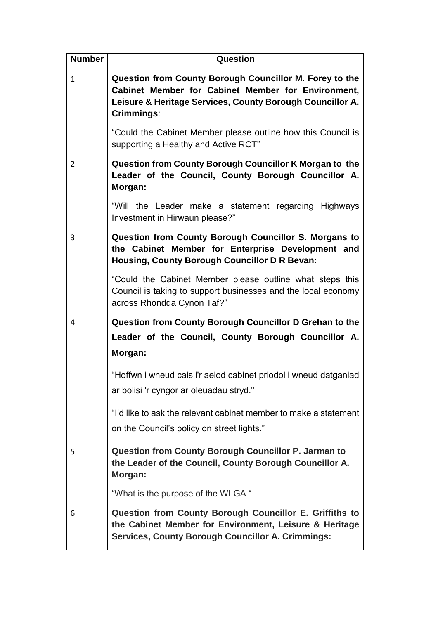| <b>Number</b>  | Question                                                                                                                                                                                 |
|----------------|------------------------------------------------------------------------------------------------------------------------------------------------------------------------------------------|
| $\mathbf{1}$   | Question from County Borough Councillor M. Forey to the<br>Cabinet Member for Cabinet Member for Environment,<br>Leisure & Heritage Services, County Borough Councillor A.<br>Crimmings: |
|                | "Could the Cabinet Member please outline how this Council is<br>supporting a Healthy and Active RCT"                                                                                     |
| 2              | Question from County Borough Councillor K Morgan to the<br>Leader of the Council, County Borough Councillor A.<br>Morgan:                                                                |
|                | "Will the Leader make a statement regarding Highways<br>Investment in Hirwaun please?"                                                                                                   |
| $\overline{3}$ | Question from County Borough Councillor S. Morgans to<br>the Cabinet Member for Enterprise Development and<br><b>Housing, County Borough Councillor D R Bevan:</b>                       |
|                | "Could the Cabinet Member please outline what steps this<br>Council is taking to support businesses and the local economy<br>across Rhondda Cynon Taf?"                                  |
| 4              | Question from County Borough Councillor D Grehan to the                                                                                                                                  |
|                | Leader of the Council, County Borough Councillor A.<br>Morgan:                                                                                                                           |
|                | "Hoffwn i wneud cais i'r aelod cabinet priodol i wneud datganiad<br>ar bolisi 'r cyngor ar oleuadau stryd."                                                                              |
|                | "I'd like to ask the relevant cabinet member to make a statement<br>on the Council's policy on street lights."                                                                           |
| 5              | <b>Question from County Borough Councillor P. Jarman to</b><br>the Leader of the Council, County Borough Councillor A.<br>Morgan:                                                        |
|                | "What is the purpose of the WLGA"                                                                                                                                                        |
| 6              | Question from County Borough Councillor E. Griffiths to<br>the Cabinet Member for Environment, Leisure & Heritage<br><b>Services, County Borough Councillor A. Crimmings:</b>            |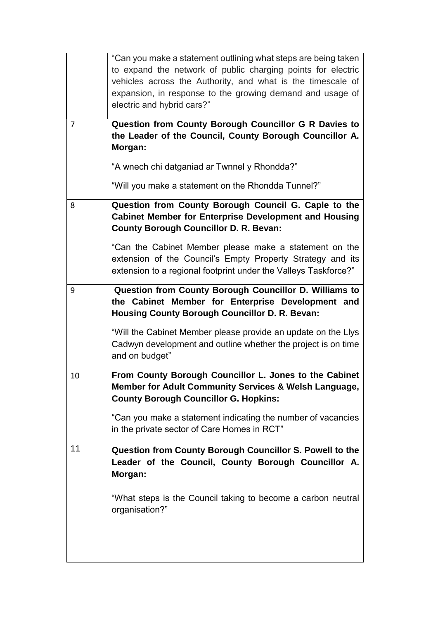|                | "Can you make a statement outlining what steps are being taken<br>to expand the network of public charging points for electric<br>vehicles across the Authority, and what is the timescale of<br>expansion, in response to the growing demand and usage of<br>electric and hybrid cars?"                                 |
|----------------|--------------------------------------------------------------------------------------------------------------------------------------------------------------------------------------------------------------------------------------------------------------------------------------------------------------------------|
| $\overline{7}$ | Question from County Borough Councillor G R Davies to<br>the Leader of the Council, County Borough Councillor A.<br>Morgan:                                                                                                                                                                                              |
|                | "A wnech chi datganiad ar Twnnel y Rhondda?"                                                                                                                                                                                                                                                                             |
|                | "Will you make a statement on the Rhondda Tunnel?"                                                                                                                                                                                                                                                                       |
| 8              | Question from County Borough Council G. Caple to the<br><b>Cabinet Member for Enterprise Development and Housing</b><br><b>County Borough Councillor D. R. Bevan:</b><br>"Can the Cabinet Member please make a statement on the                                                                                          |
|                | extension of the Council's Empty Property Strategy and its<br>extension to a regional footprint under the Valleys Taskforce?"                                                                                                                                                                                            |
| 9              | Question from County Borough Councillor D. Williams to<br>the Cabinet Member for Enterprise Development and<br><b>Housing County Borough Councillor D. R. Bevan:</b><br>"Will the Cabinet Member please provide an update on the Llys<br>Cadwyn development and outline whether the project is on time<br>and on budget" |
| 10             | From County Borough Councillor L. Jones to the Cabinet<br>Member for Adult Community Services & Welsh Language,<br><b>County Borough Councillor G. Hopkins:</b><br>"Can you make a statement indicating the number of vacancies<br>in the private sector of Care Homes in RCT"                                           |
| 11             | Question from County Borough Councillor S. Powell to the<br>Leader of the Council, County Borough Councillor A.<br>Morgan:<br>"What steps is the Council taking to become a carbon neutral<br>organisation?"                                                                                                             |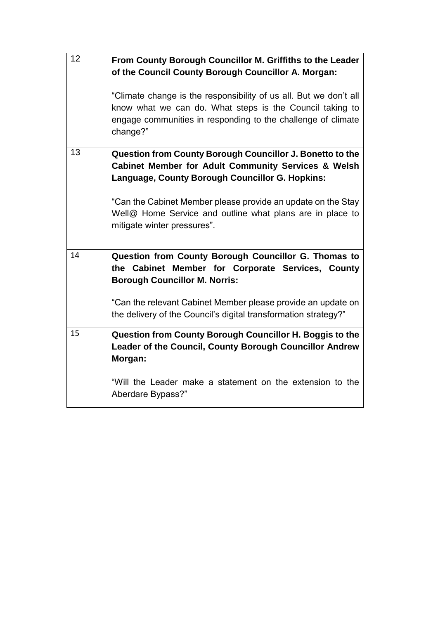| 12 | From County Borough Councillor M. Griffiths to the Leader<br>of the Council County Borough Councillor A. Morgan:                                                                                          |
|----|-----------------------------------------------------------------------------------------------------------------------------------------------------------------------------------------------------------|
|    | "Climate change is the responsibility of us all. But we don't all<br>know what we can do. What steps is the Council taking to<br>engage communities in responding to the challenge of climate<br>change?" |
| 13 | Question from County Borough Councillor J. Bonetto to the<br><b>Cabinet Member for Adult Community Services &amp; Welsh</b><br>Language, County Borough Councillor G. Hopkins:                            |
|    | "Can the Cabinet Member please provide an update on the Stay<br>Well@ Home Service and outline what plans are in place to<br>mitigate winter pressures".                                                  |
| 14 | Question from County Borough Councillor G. Thomas to<br>the Cabinet Member for Corporate Services, County<br><b>Borough Councillor M. Norris:</b>                                                         |
|    | "Can the relevant Cabinet Member please provide an update on<br>the delivery of the Council's digital transformation strategy?"                                                                           |
| 15 | Question from County Borough Councillor H. Boggis to the<br>Leader of the Council, County Borough Councillor Andrew<br>Morgan:                                                                            |
|    | "Will the Leader make a statement on the extension to the<br>Aberdare Bypass?"                                                                                                                            |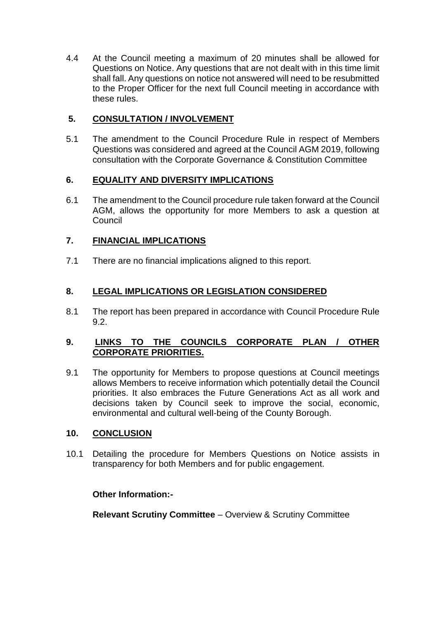4.4 At the Council meeting a maximum of 20 minutes shall be allowed for Questions on Notice. Any questions that are not dealt with in this time limit shall fall. Any questions on notice not answered will need to be resubmitted to the Proper Officer for the next full Council meeting in accordance with these rules.

# **5. CONSULTATION / INVOLVEMENT**

5.1 The amendment to the Council Procedure Rule in respect of Members Questions was considered and agreed at the Council AGM 2019, following consultation with the Corporate Governance & Constitution Committee

# **6. EQUALITY AND DIVERSITY IMPLICATIONS**

6.1 The amendment to the Council procedure rule taken forward at the Council AGM, allows the opportunity for more Members to ask a question at **Council** 

# **7. FINANCIAL IMPLICATIONS**

7.1 There are no financial implications aligned to this report.

# **8. LEGAL IMPLICATIONS OR LEGISLATION CONSIDERED**

8.1 The report has been prepared in accordance with Council Procedure Rule 9.2.

# **9. LINKS TO THE COUNCILS CORPORATE PLAN / OTHER CORPORATE PRIORITIES.**

9.1 The opportunity for Members to propose questions at Council meetings allows Members to receive information which potentially detail the Council priorities. It also embraces the Future Generations Act as all work and decisions taken by Council seek to improve the social, economic, environmental and cultural well-being of the County Borough.

# **10. CONCLUSION**

10.1 Detailing the procedure for Members Questions on Notice assists in transparency for both Members and for public engagement.

# **Other Information:-**

**Relevant Scrutiny Committee** – Overview & Scrutiny Committee